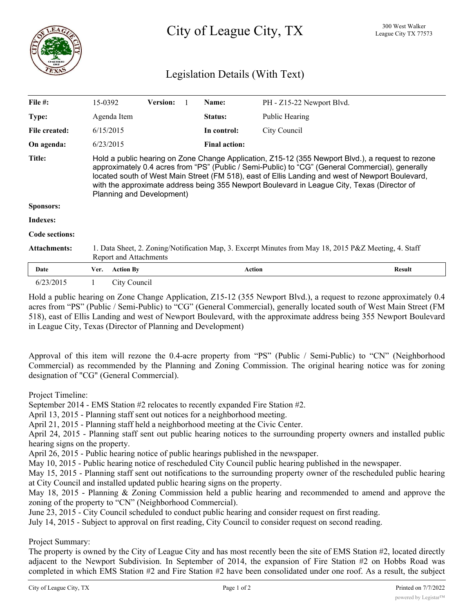

## Legislation Details (With Text)

| File #:             | 15-0392   |                                                                                                                                                                                                                                                                                                                                                                                                                                       | <b>Version:</b> |  | Name:                | PH - Z15-22 Newport Blvd. |               |  |
|---------------------|-----------|---------------------------------------------------------------------------------------------------------------------------------------------------------------------------------------------------------------------------------------------------------------------------------------------------------------------------------------------------------------------------------------------------------------------------------------|-----------------|--|----------------------|---------------------------|---------------|--|
| Type:               |           | Agenda Item                                                                                                                                                                                                                                                                                                                                                                                                                           |                 |  | Status:              | Public Hearing            |               |  |
| File created:       | 6/15/2015 |                                                                                                                                                                                                                                                                                                                                                                                                                                       |                 |  | In control:          | City Council              |               |  |
| On agenda:          | 6/23/2015 |                                                                                                                                                                                                                                                                                                                                                                                                                                       |                 |  | <b>Final action:</b> |                           |               |  |
| <b>Title:</b>       |           | Hold a public hearing on Zone Change Application, Z15-12 (355 Newport Blvd.), a request to rezone<br>approximately 0.4 acres from "PS" (Public / Semi-Public) to "CG" (General Commercial), generally<br>located south of West Main Street (FM 518), east of Ellis Landing and west of Newport Boulevard,<br>with the approximate address being 355 Newport Boulevard in League City, Texas (Director of<br>Planning and Development) |                 |  |                      |                           |               |  |
| Sponsors:           |           |                                                                                                                                                                                                                                                                                                                                                                                                                                       |                 |  |                      |                           |               |  |
| Indexes:            |           |                                                                                                                                                                                                                                                                                                                                                                                                                                       |                 |  |                      |                           |               |  |
| Code sections:      |           |                                                                                                                                                                                                                                                                                                                                                                                                                                       |                 |  |                      |                           |               |  |
| <b>Attachments:</b> |           | 1. Data Sheet, 2. Zoning/Notification Map, 3. Excerpt Minutes from May 18, 2015 P&Z Meeting, 4. Staff<br><b>Report and Attachments</b>                                                                                                                                                                                                                                                                                                |                 |  |                      |                           |               |  |
| Date                | Ver.      | <b>Action By</b>                                                                                                                                                                                                                                                                                                                                                                                                                      |                 |  | <b>Action</b>        |                           | <b>Result</b> |  |
| 6/23/2015           |           | City Council                                                                                                                                                                                                                                                                                                                                                                                                                          |                 |  |                      |                           |               |  |

Hold a public hearing on Zone Change Application, Z15-12 (355 Newport Blvd.), a request to rezone approximately 0.4 acres from "PS" (Public / Semi-Public) to "CG" (General Commercial), generally located south of West Main Street (FM 518), east of Ellis Landing and west of Newport Boulevard, with the approximate address being 355 Newport Boulevard in League City, Texas (Director of Planning and Development)

Approval of this item will rezone the 0.4-acre property from "PS" (Public / Semi-Public) to "CN" (Neighborhood Commercial) as recommended by the Planning and Zoning Commission. The original hearing notice was for zoning designation of "CG" (General Commercial).

Project Timeline:

September 2014 - EMS Station #2 relocates to recently expanded Fire Station #2.

April 13, 2015 - Planning staff sent out notices for a neighborhood meeting.

April 21, 2015 - Planning staff held a neighborhood meeting at the Civic Center.

April 24, 2015 - Planning staff sent out public hearing notices to the surrounding property owners and installed public hearing signs on the property.

April 26, 2015 - Public hearing notice of public hearings published in the newspaper.

May 10, 2015 - Public hearing notice of rescheduled City Council public hearing published in the newspaper.

May 15, 2015 - Planning staff sent out notifications to the surrounding property owner of the rescheduled public hearing at City Council and installed updated public hearing signs on the property.

May 18, 2015 - Planning & Zoning Commission held a public hearing and recommended to amend and approve the zoning of the property to "CN" (Neighborhood Commercial).

June 23, 2015 - City Council scheduled to conduct public hearing and consider request on first reading.

July 14, 2015 - Subject to approval on first reading, City Council to consider request on second reading.

Project Summary:

The property is owned by the City of League City and has most recently been the site of EMS Station #2, located directly adjacent to the Newport Subdivision. In September of 2014, the expansion of Fire Station #2 on Hobbs Road was completed in which EMS Station #2 and Fire Station #2 have been consolidated under one roof. As a result, the subject